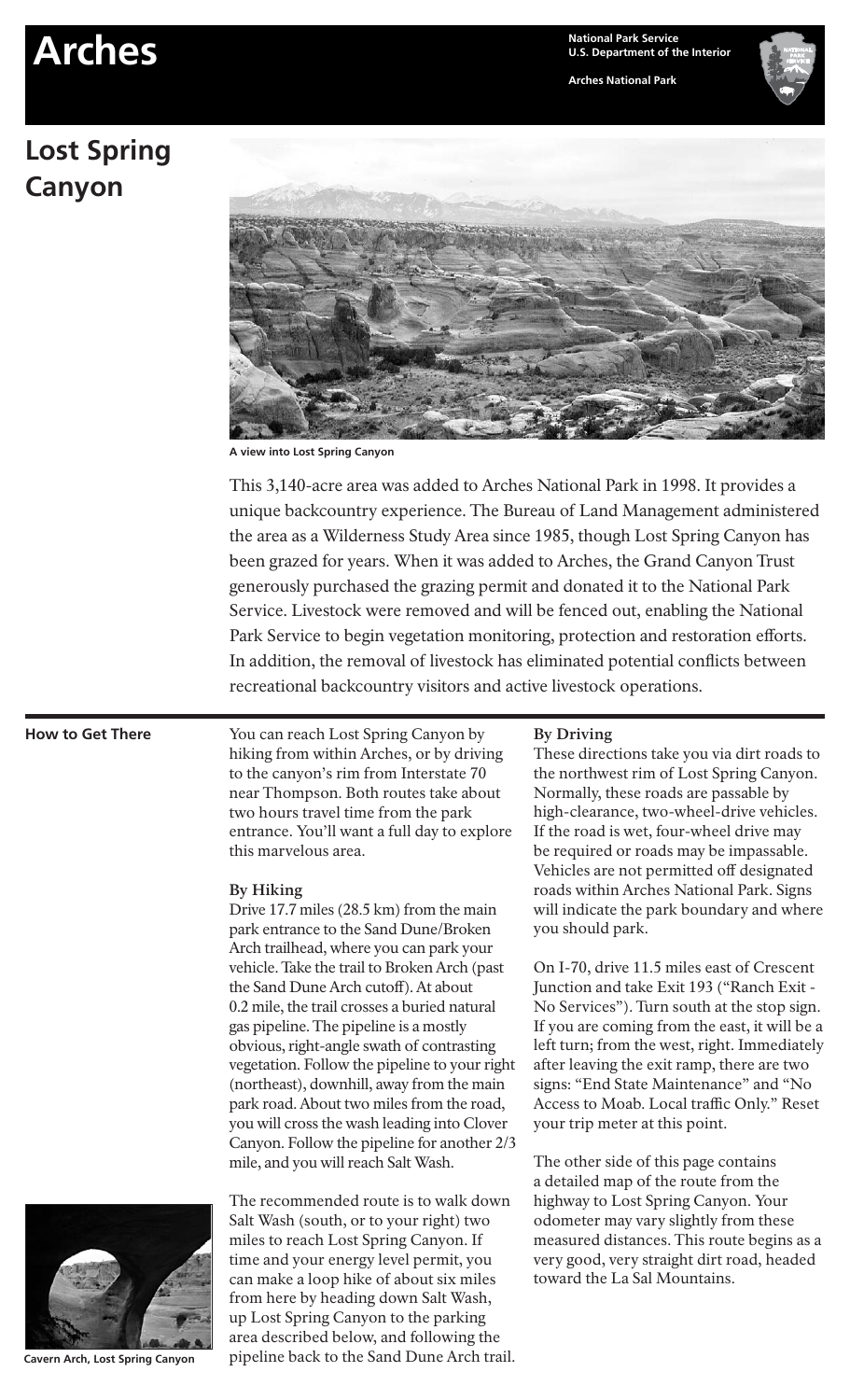# **Arches National Park Service**

#### **Arches National Park**

# **Lost Spring Canyon**



**A view into Lost Spring Canyon**

This 3,140-acre area was added to Arches National Park in 1998. It provides a unique backcountry experience. The Bureau of Land Management administered the area as a Wilderness Study Area since 1985, though Lost Spring Canyon has been grazed for years. When it was added to Arches, the Grand Canyon Trust generously purchased the grazing permit and donated it to the National Park Service. Livestock were removed and will be fenced out, enabling the National Park Service to begin vegetation monitoring, protection and restoration efforts. In addition, the removal of livestock has eliminated potential conflicts between recreational backcountry visitors and active livestock operations.

## **How to Get There**

You can reach Lost Spring Canyon by hiking from within Arches, or by driving to the canyon's rim from Interstate 70 near Thompson. Both routes take about two hours travel time from the park entrance. You'll want a full day to explore this marvelous area.

#### **By Hiking**

Drive 17.7 miles (28.5 km) from the main park entrance to the Sand Dune/Broken Arch trailhead, where you can park your vehicle. Take the trail to Broken Arch (past the Sand Dune Arch cutoff). At about 0.2 mile, the trail crosses a buried natural gas pipeline. The pipeline is a mostly obvious, right-angle swath of contrasting vegetation. Follow the pipeline to your right (northeast), downhill, away from the main park road. About two miles from the road, you will cross the wash leading into Clover Canyon. Follow the pipeline for another 2/3 mile, and you will reach Salt Wash.



**Cavern Arch, Lost Spring Canyon**

The recommended route is to walk down Salt Wash (south, or to your right) two miles to reach Lost Spring Canyon. If time and your energy level permit, you can make a loop hike of about six miles from here by heading down Salt Wash, up Lost Spring Canyon to the parking area described below, and following the pipeline back to the Sand Dune Arch trail.

#### **By Driving**

These directions take you via dirt roads to the northwest rim of Lost Spring Canyon. Normally, these roads are passable by high-clearance, two-wheel-drive vehicles. If the road is wet, four-wheel drive may be required or roads may be impassable. Vehicles are not permitted off designated roads within Arches National Park. Signs will indicate the park boundary and where you should park.

On I-70, drive 11.5 miles east of Crescent Junction and take Exit 193 ("Ranch Exit - No Services"). Turn south at the stop sign. If you are coming from the east, it will be a left turn; from the west, right. Immediately after leaving the exit ramp, there are two signs: "End State Maintenance" and "No Access to Moab. Local traffic Only." Reset your trip meter at this point.

The other side of this page contains a detailed map of the route from the highway to Lost Spring Canyon. Your odometer may vary slightly from these measured distances. This route begins as a very good, very straight dirt road, headed toward the La Sal Mountains.